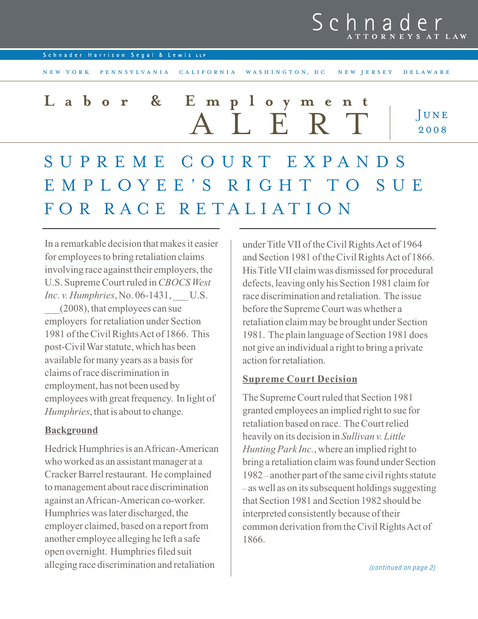# Schna

Schnader Harrison Segal & Lewis LLP

**JUNE** 2008 N E W Y ORK PEN N SYLVANIA CALIFORNIA WAS HINGTON, DC NEW JERSEY DELAWARE ALERT Labor & Employme SUPREME COURT EXPANDS EMPLOYEE'S RIGHT TO SUE FOR RACE RETALIATION

In a remarkable decision that makes it easier for employees to bring retaliation claims involving race against their employers, the U.S. Supreme Court ruled in CBOCS West *Inc. v. Humphries*, No. 06-1431, U.S. \_\_\_(2008), that employees can sue employers for retaliation under Section 1981 of the Civil Rights Act of 1866. This post-Civil War statute, which has been available for many years as a basis for claims of race discrimination in employment, has not been used by employees with great frequency. In light of Humphries, that is about to change.

## Background

Hedrick Humphries is an African-American who worked as an assistant manager at a Cracker Barrel restaurant. He complained to management about race discrimination against an African-American co-worker. Humphries was later discharged, the employer claimed, based on a report from another employee alleging he left a safe open overnight. Humphries filed suit alleging race discrimination and retaliation

under Title VII of the Civil Rights Act of 1964 and Section 1981 of the Civil Rights Act of 1866. His Title VII claim was dismissed for procedural defects, leaving only his Section 1981 claim for race discrimination and retaliation. The issue before the Supreme Court was whether a retaliation claim may be brought under Section 1981. The plain language of Section 1981 does not give an individual a right to bring a private action for retaliation.

## Supreme Court Decision

The Supreme Court ruled that Section 1981 granted employees an implied right to sue for retaliation based on race. The Court relied heavily on its decision in Sullivan v. Little Hunting Park Inc., where an implied right to bring a retaliation claim was found under Section 1982 – another part of the same civil rights statute – as well as on its subsequent holdings suggesting that Section 1981 and Section 1982 should be interpreted consistently because of their common derivation from the Civil Rights Act of 1866.